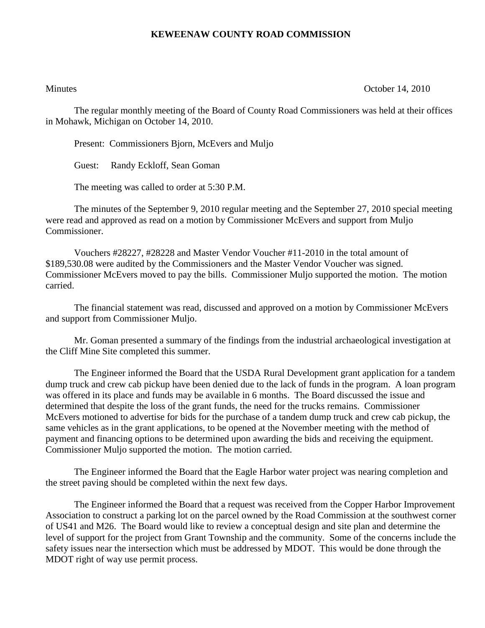## **KEWEENAW COUNTY ROAD COMMISSION**

Minutes **October 14, 2010** 

The regular monthly meeting of the Board of County Road Commissioners was held at their offices in Mohawk, Michigan on October 14, 2010.

Present: Commissioners Bjorn, McEvers and Muljo

Guest: Randy Eckloff, Sean Goman

The meeting was called to order at 5:30 P.M.

The minutes of the September 9, 2010 regular meeting and the September 27, 2010 special meeting were read and approved as read on a motion by Commissioner McEvers and support from Muljo Commissioner.

Vouchers #28227, #28228 and Master Vendor Voucher #11-2010 in the total amount of \$189,530.08 were audited by the Commissioners and the Master Vendor Voucher was signed. Commissioner McEvers moved to pay the bills. Commissioner Muljo supported the motion. The motion carried.

The financial statement was read, discussed and approved on a motion by Commissioner McEvers and support from Commissioner Muljo.

Mr. Goman presented a summary of the findings from the industrial archaeological investigation at the Cliff Mine Site completed this summer.

The Engineer informed the Board that the USDA Rural Development grant application for a tandem dump truck and crew cab pickup have been denied due to the lack of funds in the program. A loan program was offered in its place and funds may be available in 6 months. The Board discussed the issue and determined that despite the loss of the grant funds, the need for the trucks remains. Commissioner McEvers motioned to advertise for bids for the purchase of a tandem dump truck and crew cab pickup, the same vehicles as in the grant applications, to be opened at the November meeting with the method of payment and financing options to be determined upon awarding the bids and receiving the equipment. Commissioner Muljo supported the motion. The motion carried.

The Engineer informed the Board that the Eagle Harbor water project was nearing completion and the street paving should be completed within the next few days.

The Engineer informed the Board that a request was received from the Copper Harbor Improvement Association to construct a parking lot on the parcel owned by the Road Commission at the southwest corner of US41 and M26. The Board would like to review a conceptual design and site plan and determine the level of support for the project from Grant Township and the community. Some of the concerns include the safety issues near the intersection which must be addressed by MDOT. This would be done through the MDOT right of way use permit process.